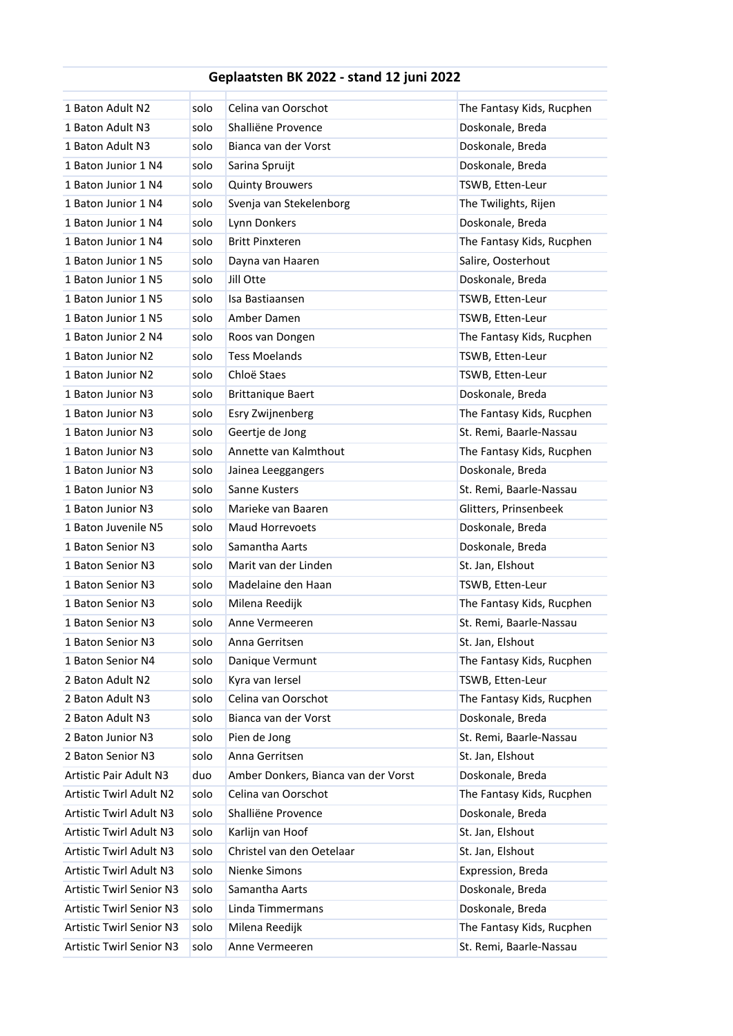## **Geplaatsten BK 2022 - stand 12 juni 2022**

| 1 Baton Adult N2                | solo | Celina van Oorschot                 | The Fantasy Kids, Rucphen |
|---------------------------------|------|-------------------------------------|---------------------------|
| 1 Baton Adult N3                | solo | Shalliëne Provence                  | Doskonale, Breda          |
| 1 Baton Adult N3                | solo | Bianca van der Vorst                | Doskonale, Breda          |
| 1 Baton Junior 1 N4             | solo | Sarina Spruijt                      | Doskonale, Breda          |
| 1 Baton Junior 1 N4             | solo | <b>Quinty Brouwers</b>              | TSWB, Etten-Leur          |
| 1 Baton Junior 1 N4             | solo | Svenja van Stekelenborg             | The Twilights, Rijen      |
| 1 Baton Junior 1 N4             | solo | Lynn Donkers                        | Doskonale, Breda          |
| 1 Baton Junior 1 N4             | solo | <b>Britt Pinxteren</b>              | The Fantasy Kids, Rucphen |
| 1 Baton Junior 1 N5             | solo | Dayna van Haaren                    | Salire, Oosterhout        |
| 1 Baton Junior 1 N5             | solo | Jill Otte                           | Doskonale, Breda          |
| 1 Baton Junior 1 N5             | solo | Isa Bastiaansen                     | TSWB, Etten-Leur          |
| 1 Baton Junior 1 N5             | solo | Amber Damen                         | TSWB, Etten-Leur          |
| 1 Baton Junior 2 N4             | solo | Roos van Dongen                     | The Fantasy Kids, Rucphen |
| 1 Baton Junior N2               | solo | <b>Tess Moelands</b>                | TSWB, Etten-Leur          |
| 1 Baton Junior N2               | solo | Chloë Staes                         | TSWB, Etten-Leur          |
| 1 Baton Junior N3               | solo | <b>Brittanique Baert</b>            | Doskonale, Breda          |
| 1 Baton Junior N3               | solo | Esry Zwijnenberg                    | The Fantasy Kids, Rucphen |
| 1 Baton Junior N3               | solo | Geertje de Jong                     | St. Remi, Baarle-Nassau   |
| 1 Baton Junior N3               | solo | Annette van Kalmthout               | The Fantasy Kids, Rucphen |
| 1 Baton Junior N3               | solo | Jainea Leeggangers                  | Doskonale, Breda          |
| 1 Baton Junior N3               | solo | Sanne Kusters                       | St. Remi, Baarle-Nassau   |
| 1 Baton Junior N3               | solo | Marieke van Baaren                  | Glitters, Prinsenbeek     |
| 1 Baton Juvenile N5             | solo | <b>Maud Horrevoets</b>              | Doskonale, Breda          |
| 1 Baton Senior N3               | solo | Samantha Aarts                      | Doskonale, Breda          |
| 1 Baton Senior N3               | solo | Marit van der Linden                | St. Jan, Elshout          |
| 1 Baton Senior N3               | solo | Madelaine den Haan                  | TSWB, Etten-Leur          |
| 1 Baton Senior N3               | solo | Milena Reedijk                      | The Fantasy Kids, Rucphen |
| 1 Baton Senior N3               | solo | Anne Vermeeren                      | St. Remi, Baarle-Nassau   |
| 1 Baton Senior N3               | solo | Anna Gerritsen                      | St. Jan, Elshout          |
| 1 Baton Senior N4               | solo | Danique Vermunt                     | The Fantasy Kids, Rucphen |
| 2 Baton Adult N2                | solo | Kyra van Iersel                     | TSWB, Etten-Leur          |
| 2 Baton Adult N3                | solo | Celina van Oorschot                 | The Fantasy Kids, Rucphen |
| 2 Baton Adult N3                | solo | Bianca van der Vorst                | Doskonale, Breda          |
| 2 Baton Junior N3               | solo | Pien de Jong                        | St. Remi, Baarle-Nassau   |
| 2 Baton Senior N3               | solo | Anna Gerritsen                      | St. Jan, Elshout          |
| Artistic Pair Adult N3          | duo  | Amber Donkers, Bianca van der Vorst | Doskonale, Breda          |
| Artistic Twirl Adult N2         | solo | Celina van Oorschot                 | The Fantasy Kids, Rucphen |
| Artistic Twirl Adult N3         | solo | Shalliëne Provence                  | Doskonale, Breda          |
| Artistic Twirl Adult N3         | solo | Karlijn van Hoof                    | St. Jan, Elshout          |
| Artistic Twirl Adult N3         | solo | Christel van den Oetelaar           | St. Jan, Elshout          |
| Artistic Twirl Adult N3         | solo | Nienke Simons                       | Expression, Breda         |
| <b>Artistic Twirl Senior N3</b> | solo | Samantha Aarts                      | Doskonale, Breda          |
| <b>Artistic Twirl Senior N3</b> | solo | Linda Timmermans                    | Doskonale, Breda          |
| <b>Artistic Twirl Senior N3</b> | solo | Milena Reedijk                      | The Fantasy Kids, Rucphen |
| Artistic Twirl Senior N3        | solo | Anne Vermeeren                      | St. Remi, Baarle-Nassau   |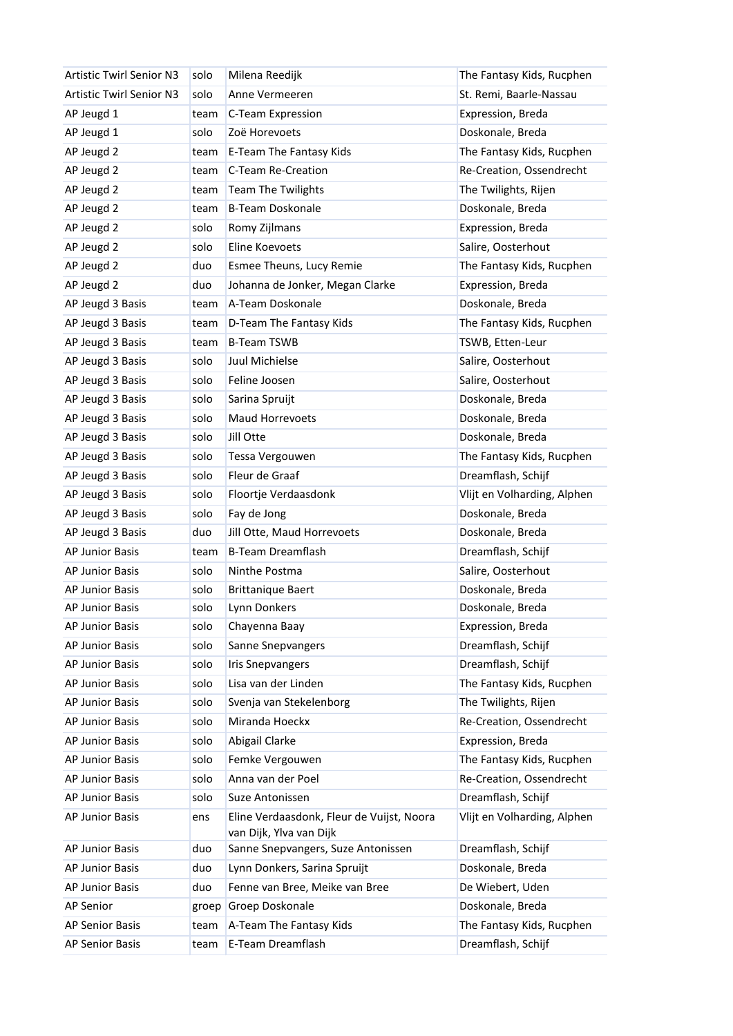| <b>Artistic Twirl Senior N3</b> | solo  | Milena Reedijk                                                       | The Fantasy Kids, Rucphen   |
|---------------------------------|-------|----------------------------------------------------------------------|-----------------------------|
| <b>Artistic Twirl Senior N3</b> | solo  | Anne Vermeeren                                                       | St. Remi, Baarle-Nassau     |
| AP Jeugd 1                      | team  | C-Team Expression                                                    | Expression, Breda           |
| AP Jeugd 1                      | solo  | Zoë Horevoets                                                        | Doskonale, Breda            |
| AP Jeugd 2                      | team  | E-Team The Fantasy Kids                                              | The Fantasy Kids, Rucphen   |
| AP Jeugd 2                      | team  | C-Team Re-Creation                                                   | Re-Creation, Ossendrecht    |
| AP Jeugd 2                      | team  | <b>Team The Twilights</b>                                            | The Twilights, Rijen        |
| AP Jeugd 2                      | team  | <b>B-Team Doskonale</b>                                              | Doskonale, Breda            |
| AP Jeugd 2                      | solo  | Romy Zijlmans                                                        | Expression, Breda           |
| AP Jeugd 2                      | solo  | Eline Koevoets                                                       | Salire, Oosterhout          |
| AP Jeugd 2                      | duo   | Esmee Theuns, Lucy Remie                                             | The Fantasy Kids, Rucphen   |
| AP Jeugd 2                      | duo   | Johanna de Jonker, Megan Clarke                                      | Expression, Breda           |
| AP Jeugd 3 Basis                | team  | A-Team Doskonale                                                     | Doskonale, Breda            |
| AP Jeugd 3 Basis                | team  | D-Team The Fantasy Kids                                              | The Fantasy Kids, Rucphen   |
| AP Jeugd 3 Basis                | team  | <b>B-Team TSWB</b>                                                   | TSWB, Etten-Leur            |
| AP Jeugd 3 Basis                | solo  | Juul Michielse                                                       | Salire, Oosterhout          |
| AP Jeugd 3 Basis                | solo  | Feline Joosen                                                        | Salire, Oosterhout          |
| AP Jeugd 3 Basis                | solo  | Sarina Spruijt                                                       | Doskonale, Breda            |
| AP Jeugd 3 Basis                | solo  | Maud Horrevoets                                                      | Doskonale, Breda            |
| AP Jeugd 3 Basis                | solo  | Jill Otte                                                            | Doskonale, Breda            |
| AP Jeugd 3 Basis                | solo  | Tessa Vergouwen                                                      | The Fantasy Kids, Rucphen   |
| AP Jeugd 3 Basis                | solo  | Fleur de Graaf                                                       | Dreamflash, Schijf          |
| AP Jeugd 3 Basis                | solo  | Floortje Verdaasdonk                                                 | Vlijt en Volharding, Alphen |
| AP Jeugd 3 Basis                | solo  | Fay de Jong                                                          | Doskonale, Breda            |
| AP Jeugd 3 Basis                | duo   | Jill Otte, Maud Horrevoets                                           | Doskonale, Breda            |
| <b>AP Junior Basis</b>          | team  | <b>B-Team Dreamflash</b>                                             | Dreamflash, Schijf          |
| AP Junior Basis                 | solo  | Ninthe Postma                                                        | Salire, Oosterhout          |
| <b>AP Junior Basis</b>          | solo  | <b>Brittanique Baert</b>                                             | Doskonale, Breda            |
| AP Junior Basis                 | solo  | Lynn Donkers                                                         | Doskonale, Breda            |
| AP Junior Basis                 | solo  | Chayenna Baay                                                        | Expression, Breda           |
| AP Junior Basis                 | solo  | Sanne Snepvangers                                                    | Dreamflash, Schijf          |
| AP Junior Basis                 | solo  | <b>Iris Snepvangers</b>                                              | Dreamflash, Schijf          |
| AP Junior Basis                 | solo  | Lisa van der Linden                                                  | The Fantasy Kids, Rucphen   |
| AP Junior Basis                 | solo  | Svenja van Stekelenborg                                              | The Twilights, Rijen        |
| AP Junior Basis                 | solo  | Miranda Hoeckx                                                       | Re-Creation, Ossendrecht    |
| AP Junior Basis                 | solo  | Abigail Clarke                                                       | Expression, Breda           |
| AP Junior Basis                 | solo  | Femke Vergouwen                                                      | The Fantasy Kids, Rucphen   |
| AP Junior Basis                 | solo  | Anna van der Poel                                                    | Re-Creation, Ossendrecht    |
| AP Junior Basis                 | solo  | Suze Antonissen                                                      | Dreamflash, Schijf          |
| AP Junior Basis                 | ens   | Eline Verdaasdonk, Fleur de Vuijst, Noora<br>van Dijk, Ylva van Dijk | Vlijt en Volharding, Alphen |
| AP Junior Basis                 | duo   | Sanne Snepvangers, Suze Antonissen                                   | Dreamflash, Schijf          |
| AP Junior Basis                 | duo   | Lynn Donkers, Sarina Spruijt                                         | Doskonale, Breda            |
| AP Junior Basis                 | duo   | Fenne van Bree, Meike van Bree                                       | De Wiebert, Uden            |
| AP Senior                       | groep | Groep Doskonale                                                      | Doskonale, Breda            |
| AP Senior Basis                 | team  | A-Team The Fantasy Kids                                              | The Fantasy Kids, Rucphen   |
| AP Senior Basis                 | team  | E-Team Dreamflash                                                    | Dreamflash, Schijf          |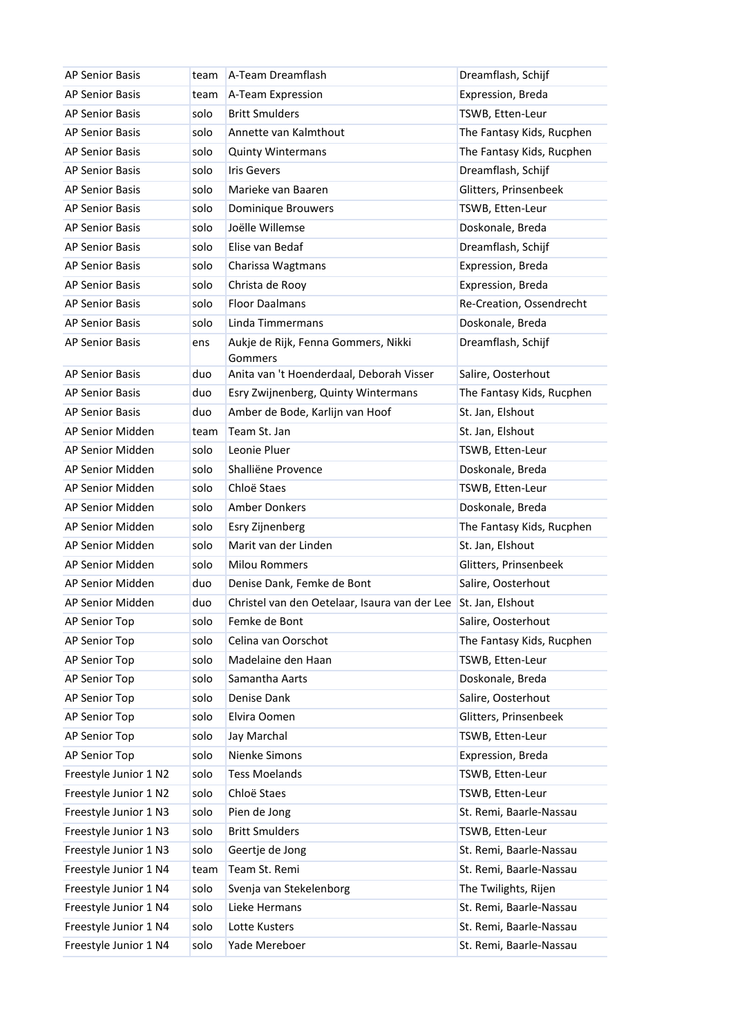| <b>AP Senior Basis</b> | team | A-Team Dreamflash                              | Dreamflash, Schijf        |
|------------------------|------|------------------------------------------------|---------------------------|
| <b>AP Senior Basis</b> | team | A-Team Expression                              | Expression, Breda         |
| <b>AP Senior Basis</b> | solo | <b>Britt Smulders</b>                          | TSWB, Etten-Leur          |
| <b>AP Senior Basis</b> | solo | Annette van Kalmthout                          | The Fantasy Kids, Rucphen |
| <b>AP Senior Basis</b> | solo | <b>Quinty Wintermans</b>                       | The Fantasy Kids, Rucphen |
| <b>AP Senior Basis</b> | solo | <b>Iris Gevers</b>                             | Dreamflash, Schijf        |
| <b>AP Senior Basis</b> | solo | Marieke van Baaren                             | Glitters, Prinsenbeek     |
| <b>AP Senior Basis</b> | solo | Dominique Brouwers                             | TSWB, Etten-Leur          |
| <b>AP Senior Basis</b> | solo | Joëlle Willemse                                | Doskonale, Breda          |
| <b>AP Senior Basis</b> | solo | Elise van Bedaf                                | Dreamflash, Schijf        |
| <b>AP Senior Basis</b> | solo | Charissa Wagtmans                              | Expression, Breda         |
| <b>AP Senior Basis</b> | solo | Christa de Rooy                                | Expression, Breda         |
| <b>AP Senior Basis</b> | solo | <b>Floor Daalmans</b>                          | Re-Creation, Ossendrecht  |
| <b>AP Senior Basis</b> | solo | Linda Timmermans                               | Doskonale, Breda          |
| <b>AP Senior Basis</b> | ens  | Aukje de Rijk, Fenna Gommers, Nikki<br>Gommers | Dreamflash, Schijf        |
| <b>AP Senior Basis</b> | duo  | Anita van 't Hoenderdaal, Deborah Visser       | Salire, Oosterhout        |
| <b>AP Senior Basis</b> | duo  | Esry Zwijnenberg, Quinty Wintermans            | The Fantasy Kids, Rucphen |
| <b>AP Senior Basis</b> | duo  | Amber de Bode, Karlijn van Hoof                | St. Jan, Elshout          |
| AP Senior Midden       | team | Team St. Jan                                   | St. Jan, Elshout          |
| AP Senior Midden       | solo | Leonie Pluer                                   | TSWB, Etten-Leur          |
| AP Senior Midden       | solo | Shalliëne Provence                             | Doskonale, Breda          |
| AP Senior Midden       | solo | Chloë Staes                                    | TSWB, Etten-Leur          |
| AP Senior Midden       | solo | <b>Amber Donkers</b>                           | Doskonale, Breda          |
| AP Senior Midden       | solo | Esry Zijnenberg                                | The Fantasy Kids, Rucphen |
| AP Senior Midden       | solo | Marit van der Linden                           | St. Jan, Elshout          |
| AP Senior Midden       | solo | <b>Milou Rommers</b>                           | Glitters, Prinsenbeek     |
| AP Senior Midden       | duo  | Denise Dank, Femke de Bont                     | Salire, Oosterhout        |
| AP Senior Midden       | duo  | Christel van den Oetelaar, Isaura van der Lee  | St. Jan, Elshout          |
| AP Senior Top          | solo | Femke de Bont                                  | Salire, Oosterhout        |
| AP Senior Top          | solo | Celina van Oorschot                            | The Fantasy Kids, Rucphen |
| AP Senior Top          | solo | Madelaine den Haan                             | TSWB, Etten-Leur          |
| AP Senior Top          | solo | Samantha Aarts                                 | Doskonale, Breda          |
| AP Senior Top          | solo | Denise Dank                                    | Salire, Oosterhout        |
| AP Senior Top          | solo | Elvira Oomen                                   | Glitters, Prinsenbeek     |
| AP Senior Top          | solo | Jay Marchal                                    | TSWB, Etten-Leur          |
| AP Senior Top          | solo | Nienke Simons                                  | Expression, Breda         |
| Freestyle Junior 1 N2  | solo | <b>Tess Moelands</b>                           | TSWB, Etten-Leur          |
| Freestyle Junior 1 N2  | solo | Chloë Staes                                    | TSWB, Etten-Leur          |
| Freestyle Junior 1 N3  | solo | Pien de Jong                                   | St. Remi, Baarle-Nassau   |
| Freestyle Junior 1 N3  | solo | <b>Britt Smulders</b>                          | TSWB, Etten-Leur          |
| Freestyle Junior 1 N3  | solo | Geertje de Jong                                | St. Remi, Baarle-Nassau   |
| Freestyle Junior 1 N4  | team | Team St. Remi                                  | St. Remi, Baarle-Nassau   |
| Freestyle Junior 1 N4  | solo | Svenja van Stekelenborg                        | The Twilights, Rijen      |
| Freestyle Junior 1 N4  | solo | Lieke Hermans                                  | St. Remi, Baarle-Nassau   |
| Freestyle Junior 1 N4  | solo | Lotte Kusters                                  | St. Remi, Baarle-Nassau   |
| Freestyle Junior 1 N4  | solo | Yade Mereboer                                  | St. Remi, Baarle-Nassau   |